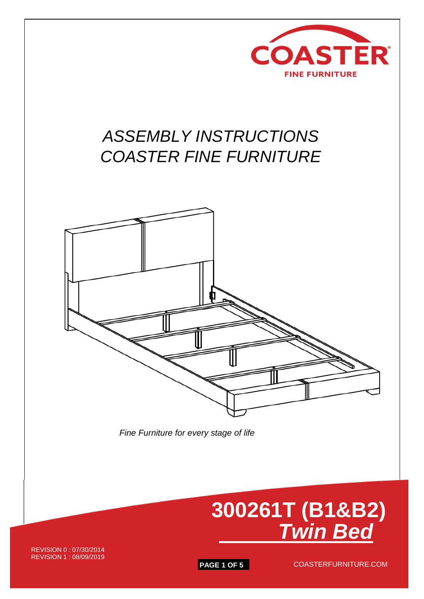

## *ASSEMBLY INSTRUCTIONS COASTER FINE FURNITURE*



 *Fine Furniture for every stage of life*



REVISION 0 : 07/30/2014 REVISION 1 : 08/09/2019

**PAGE 1 OF 5** COASTERFURNITURE.COM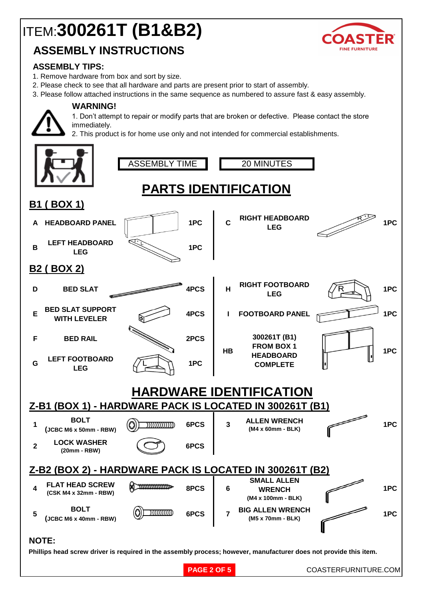# ITEM:**300261T (B1&B2)**

### **ASSEMBLY INSTRUCTIONS**



#### **ASSEMBLY TIPS:**

1. Remove hardware from box and sort by size.

**WARNING!**

- 2. Please check to see that all hardware and parts are present prior to start of assembly.
- 3. Please follow attached instructions in the same sequence as numbered to assure fast & easy assembly.



1. Don't attempt to repair or modify parts that are broken or defective. Please contact the store immediately.

2. This product is for home use only and not intended for commercial establishments.

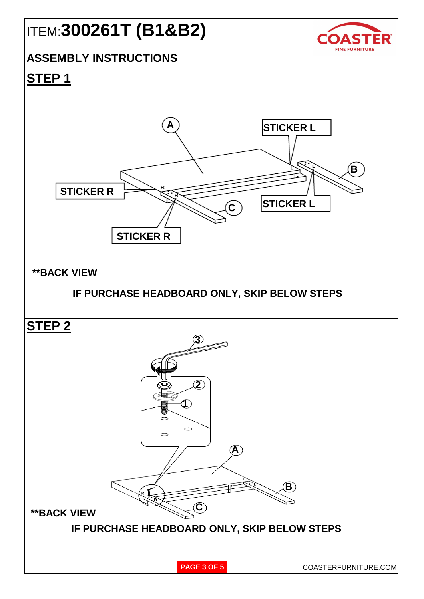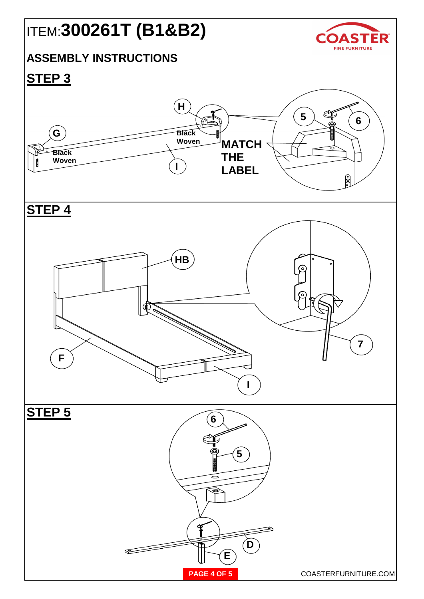